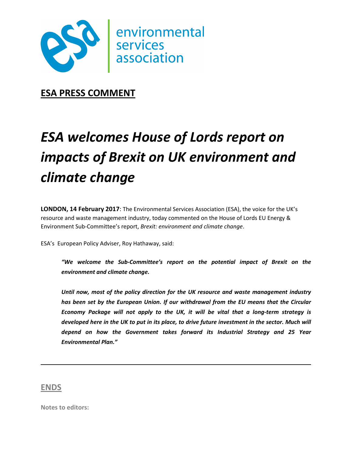

**ESA PRESS COMMENT** 

## *ESA welcomes House of Lords report on impacts of Brexit on UK environment and climate change*

**LONDON, 14 February 2017**: The Environmental Services Association (ESA), the voice for the UK's resource and waste management industry, today commented on the House of Lords EU Energy & Environment Sub-Committee's report, *Brexit: environment and climate change*.

ESA's European Policy Adviser, Roy Hathaway, said:

*"We welcome the Sub-Committee's report on the potential impact of Brexit on the environment and climate change.* 

*Until now, most of the policy direction for the UK resource and waste management industry has been set by the European Union. If our withdrawal from the EU means that the Circular Economy Package will not apply to the UK, it will be vital that a long-term strategy is developed here in the UK to put in its place, to drive future investment in the sector. Much will depend on how the Government takes forward its Industrial Strategy and 25 Year Environmental Plan."* 

## **ENDS**

**Notes to editors:**